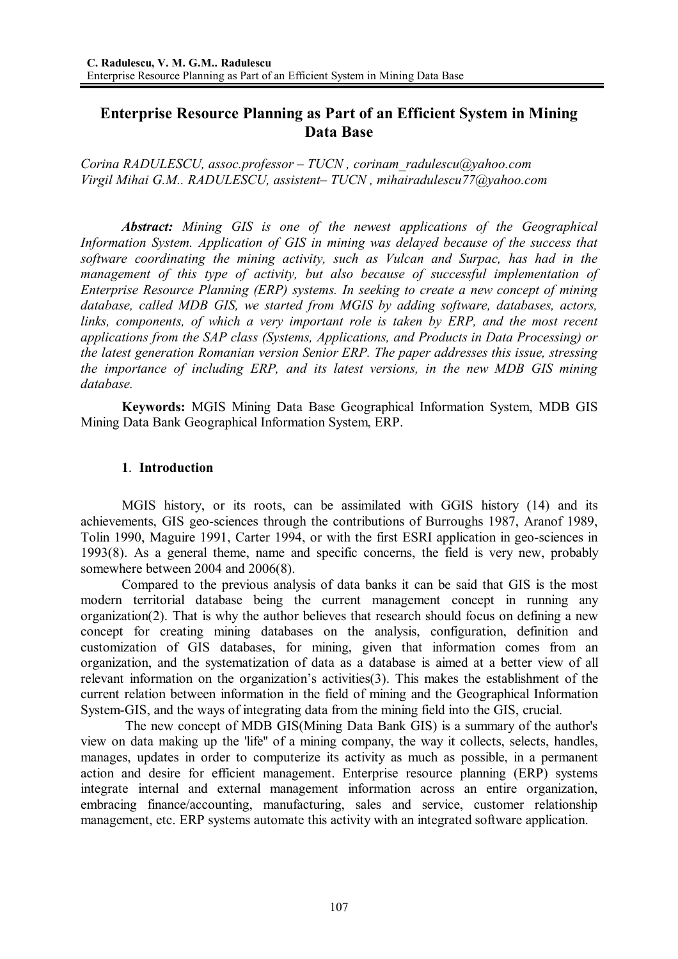# **Enterprise Resource Planning as Part of an Efficient System in Mining Data Base**

*Corina RADULESCU, assoc.professor – TUCN , corinam\_radulescu@yahoo.com Virgil Mihai G.M.. RADULESCU, assistent– TUCN , mihairadulescu77@yahoo.com* 

*Abstract: Mining GIS is one of the newest applications of the Geographical Information System. Application of GIS in mining was delayed because of the success that software coordinating the mining activity, such as Vulcan and Surpac, has had in the management of this type of activity, but also because of successful implementation of Enterprise Resource Planning (ERP) systems. In seeking to create a new concept of mining database, called MDB GIS, we started from MGIS by adding software, databases, actors,*  links, components, of which a very important role is taken by ERP, and the most recent *applications from the SAP class (Systems, Applications, and Products in Data Processing) or the latest generation Romanian version Senior ERP. The paper addresses this issue, stressing the importance of including ERP, and its latest versions, in the new MDB GIS mining database.* 

**Keywords:** MGIS Mining Data Base Geographical Information System, MDB GIS Mining Data Bank Geographical Information System, ERP.

## **1**. **Introduction**

MGIS history, or its roots, can be assimilated with GGIS history (14) and its achievements, GIS geo-sciences through the contributions of Burroughs 1987, Aranof 1989, Tolin 1990, Maguire 1991, Carter 1994, or with the first ESRI application in geo-sciences in 1993(8). As a general theme, name and specific concerns, the field is very new, probably somewhere between 2004 and 2006(8).

Compared to the previous analysis of data banks it can be said that GIS is the most modern territorial database being the current management concept in running any organization(2). That is why the author believes that research should focus on defining a new concept for creating mining databases on the analysis, configuration, definition and customization of GIS databases, for mining, given that information comes from an organization, and the systematization of data as a database is aimed at a better view of all relevant information on the organization's activities(3). This makes the establishment of the current relation between information in the field of mining and the Geographical Information System-GIS, and the ways of integrating data from the mining field into the GIS, crucial.

 The new concept of MDB GIS(Mining Data Bank GIS) is a summary of the author's view on data making up the 'life'' of a mining company, the way it collects, selects, handles, manages, updates in order to computerize its activity as much as possible, in a permanent action and desire for efficient management. Enterprise resource planning (ERP) systems integrate internal and external management information across an entire organization, embracing finance/accounting, manufacturing, sales and service, customer relationship management, etc. ERP systems automate this activity with an integrated software application.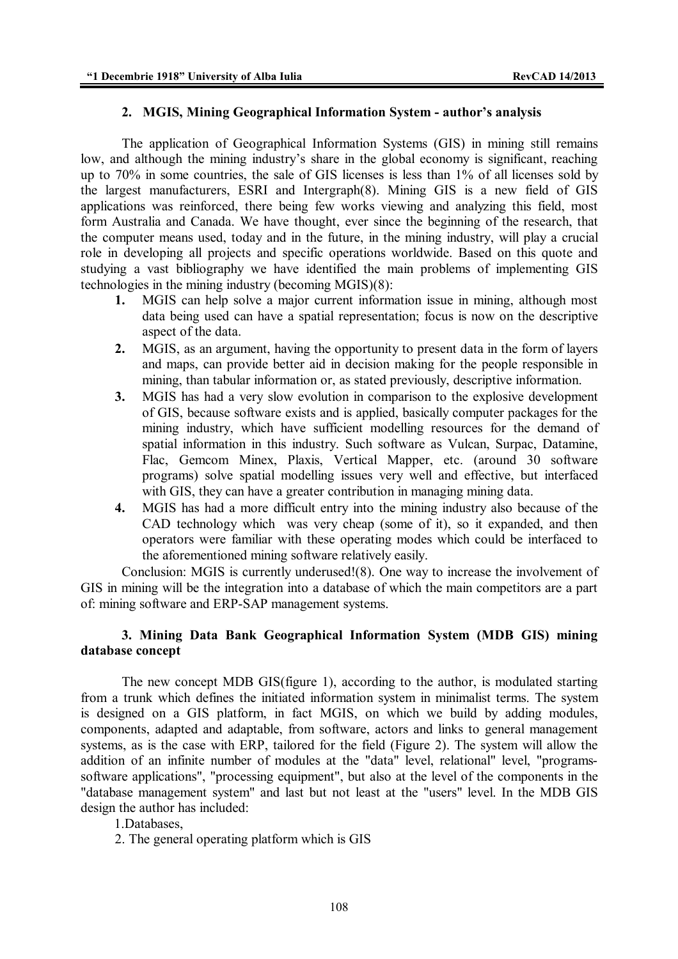#### **2. MGIS, Mining Geographical Information System - author's analysis**

 The application of Geographical Information Systems (GIS) in mining still remains low, and although the mining industry's share in the global economy is significant, reaching up to 70% in some countries, the sale of GIS licenses is less than 1% of all licenses sold by the largest manufacturers, ESRI and Intergraph(8). Mining GIS is a new field of GIS applications was reinforced, there being few works viewing and analyzing this field, most form Australia and Canada. We have thought, ever since the beginning of the research, that the computer means used, today and in the future, in the mining industry, will play a crucial role in developing all projects and specific operations worldwide. Based on this quote and studying a vast bibliography we have identified the main problems of implementing GIS technologies in the mining industry (becoming MGIS)(8):

- **1.** MGIS can help solve a major current information issue in mining, although most data being used can have a spatial representation; focus is now on the descriptive aspect of the data.
- **2.** MGIS, as an argument, having the opportunity to present data in the form of layers and maps, can provide better aid in decision making for the people responsible in mining, than tabular information or, as stated previously, descriptive information.
- **3.** MGIS has had a very slow evolution in comparison to the explosive development of GIS, because software exists and is applied, basically computer packages for the mining industry, which have sufficient modelling resources for the demand of spatial information in this industry. Such software as Vulcan, Surpac, Datamine, Flac, Gemcom Minex, Plaxis, Vertical Mapper, etc. (around 30 software programs) solve spatial modelling issues very well and effective, but interfaced with GIS, they can have a greater contribution in managing mining data.
- **4.** MGIS has had a more difficult entry into the mining industry also because of the CAD technology which was very cheap (some of it), so it expanded, and then operators were familiar with these operating modes which could be interfaced to the aforementioned mining software relatively easily.

Conclusion: MGIS is currently underused!(8). One way to increase the involvement of GIS in mining will be the integration into a database of which the main competitors are a part of: mining software and ERP-SAP management systems.

# **3. Mining Data Bank Geographical Information System (MDB GIS) mining database concept**

 The new concept MDB GIS(figure 1), according to the author, is modulated starting from a trunk which defines the initiated information system in minimalist terms. The system is designed on a GIS platform, in fact MGIS, on which we build by adding modules, components, adapted and adaptable, from software, actors and links to general management systems, as is the case with ERP, tailored for the field (Figure 2). The system will allow the addition of an infinite number of modules at the "data" level, relational" level, "programssoftware applications", "processing equipment", but also at the level of the components in the "database management system" and last but not least at the "users" level. In the MDB GIS design the author has included:

## 1.Databases,

2. The general operating platform which is GIS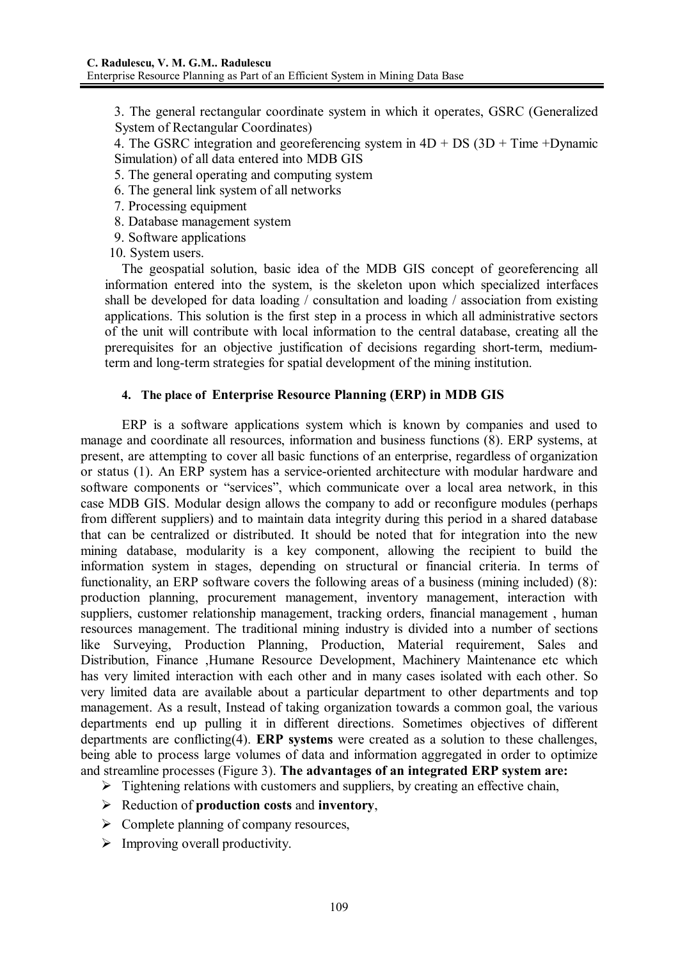3. The general rectangular coordinate system in which it operates, GSRC (Generalized System of Rectangular Coordinates)

4. The GSRC integration and georeferencing system in  $4D + DS$  ( $3D + Time + D$ ynamic Simulation) of all data entered into MDB GIS

- 5. The general operating and computing system
- 6. The general link system of all networks
- 7. Processing equipment
- 8. Database management system
- 9. Software applications
- 10. System users.

 The geospatial solution, basic idea of the MDB GIS concept of georeferencing all information entered into the system, is the skeleton upon which specialized interfaces shall be developed for data loading / consultation and loading / association from existing applications. This solution is the first step in a process in which all administrative sectors of the unit will contribute with local information to the central database, creating all the prerequisites for an objective justification of decisions regarding short-term, mediumterm and long-term strategies for spatial development of the mining institution.

## **4. The place of Enterprise Resource Planning (ERP) in MDB GIS**

ERP is a software applications system which is known by companies and used to manage and coordinate all resources, information and business functions (8). ERP systems, at present, are attempting to cover all basic functions of an enterprise, regardless of organization or status (1). An ERP system has a service-oriented architecture with modular hardware and software components or "services", which communicate over a local area network, in this case MDB GIS. Modular design allows the company to add or reconfigure modules (perhaps from different suppliers) and to maintain data integrity during this period in a shared database that can be centralized or distributed. It should be noted that for integration into the new mining database, modularity is a key component, allowing the recipient to build the information system in stages, depending on structural or financial criteria. In terms of functionality, an ERP software covers the following areas of a business (mining included) (8): production planning, procurement management, inventory management, interaction with suppliers, customer relationship management, tracking orders, financial management , human resources management. The traditional mining industry is divided into a number of sections like Surveying, Production Planning, Production, Material requirement, Sales and Distribution, Finance ,Humane Resource Development, Machinery Maintenance etc which has very limited interaction with each other and in many cases isolated with each other. So very limited data are available about a particular department to other departments and top management. As a result, Instead of taking organization towards a common goal, the various departments end up pulling it in different directions. Sometimes objectives of different departments are conflicting(4). **ERP systems** were created as a solution to these challenges, being able to process large volumes of data and information aggregated in order to optimize and streamline processes (Figure 3). **The advantages of an integrated ERP system are:** 

- $\triangleright$  Tightening relations with customers and suppliers, by creating an effective chain,
- Reduction of **production costs** and **inventory**,
- $\triangleright$  Complete planning of company resources,
- $\triangleright$  Improving overall productivity.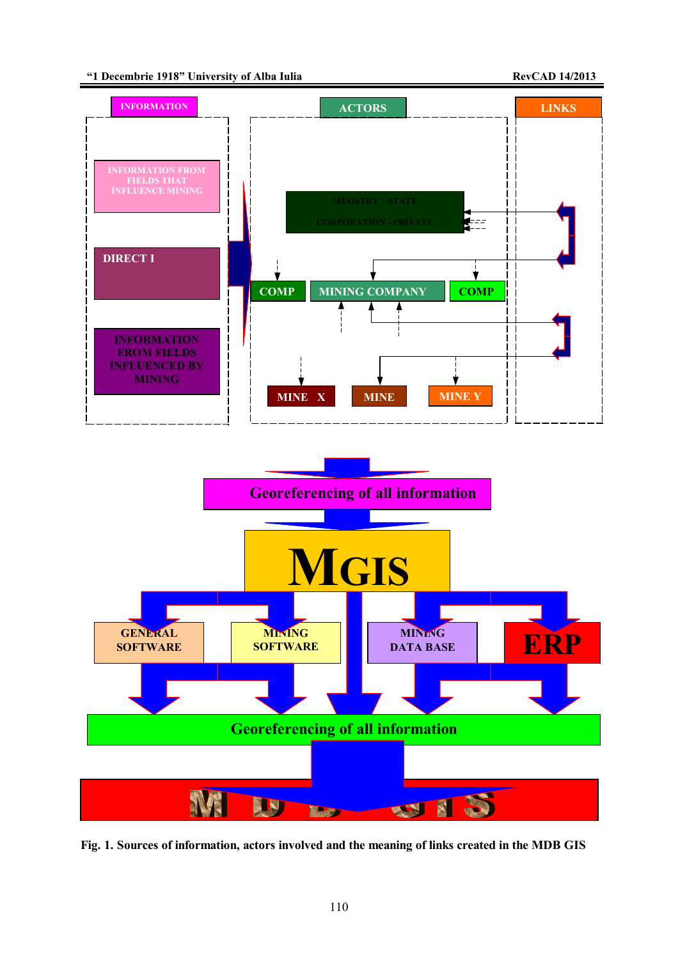



**Fig. 1. Sources of information, actors involved and the meaning of links created in the MDB GIS**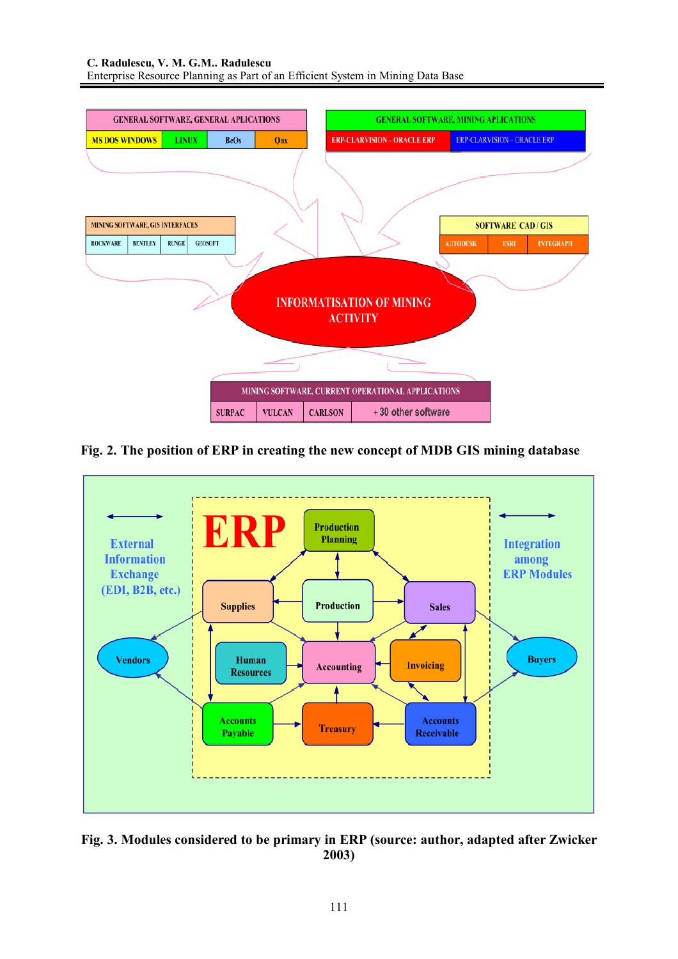

**Fig. 2. The position of ERP in creating the new concept of MDB GIS mining database** 



**Fig. 3. Modules considered to be primary in ERP (source: author, adapted after Zwicker 2003)**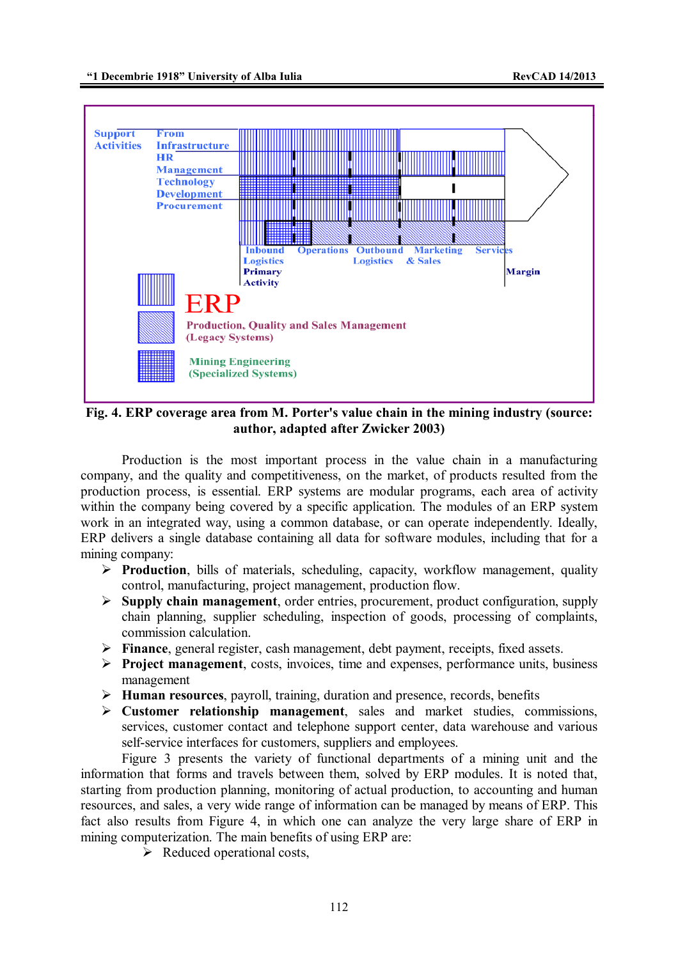

**Fig. 4. ERP coverage area from M. Porter's value chain in the mining industry (source: author, adapted after Zwicker 2003)**

Production is the most important process in the value chain in a manufacturing company, and the quality and competitiveness, on the market, of products resulted from the production process, is essential. ERP systems are modular programs, each area of activity within the company being covered by a specific application. The modules of an ERP system work in an integrated way, using a common database, or can operate independently. Ideally, ERP delivers a single database containing all data for software modules, including that for a mining company:

- **Production**, bills of materials, scheduling, capacity, workflow management, quality control, manufacturing, project management, production flow.
- **Supply chain management**, order entries, procurement, product configuration, supply chain planning, supplier scheduling, inspection of goods, processing of complaints, commission calculation.
- **Finance**, general register, cash management, debt payment, receipts, fixed assets.
- **Project management**, costs, invoices, time and expenses, performance units, business management
- **Human resources**, payroll, training, duration and presence, records, benefits
- **Customer relationship management**, sales and market studies, commissions, services, customer contact and telephone support center, data warehouse and various self-service interfaces for customers, suppliers and employees.

Figure 3 presents the variety of functional departments of a mining unit and the information that forms and travels between them, solved by ERP modules. It is noted that, starting from production planning, monitoring of actual production, to accounting and human resources, and sales, a very wide range of information can be managed by means of ERP. This fact also results from Figure 4, in which one can analyze the very large share of ERP in mining computerization. The main benefits of using ERP are:

 $\triangleright$  Reduced operational costs,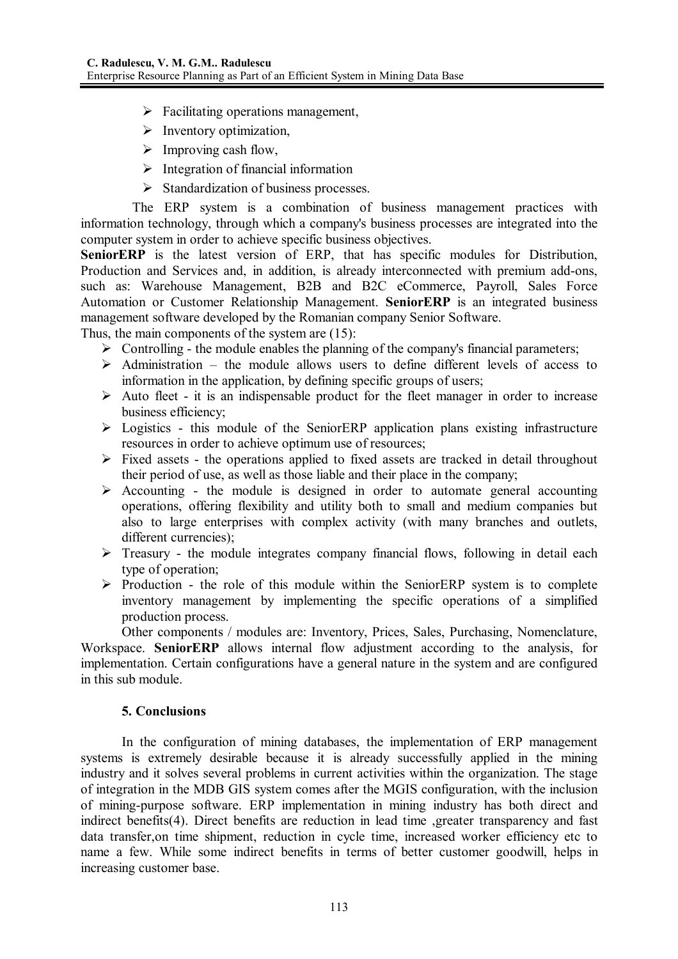- $\triangleright$  Facilitating operations management,
- $\triangleright$  Inventory optimization,
- $\triangleright$  Improving cash flow,
- $\triangleright$  Integration of financial information
- $\triangleright$  Standardization of business processes.

 The ERP system is a combination of business management practices with information technology, through which a company's business processes are integrated into the computer system in order to achieve specific business objectives.

**SeniorERP** is the latest version of ERP, that has specific modules for Distribution, Production and Services and, in addition, is already interconnected with premium add-ons, such as: Warehouse Management, B2B and B2C eCommerce, Payroll, Sales Force Automation or Customer Relationship Management. **SeniorERP** is an integrated business management software developed by the Romanian company Senior Software.

Thus, the main components of the system are (15):

- $\triangleright$  Controlling the module enables the planning of the company's financial parameters;
- $\triangleright$  Administration the module allows users to define different levels of access to information in the application, by defining specific groups of users;
- $\triangleright$  Auto fleet it is an indispensable product for the fleet manager in order to increase business efficiency;
- $\triangleright$  Logistics this module of the SeniorERP application plans existing infrastructure resources in order to achieve optimum use of resources;
- $\triangleright$  Fixed assets the operations applied to fixed assets are tracked in detail throughout their period of use, as well as those liable and their place in the company;
- $\triangleright$  Accounting the module is designed in order to automate general accounting operations, offering flexibility and utility both to small and medium companies but also to large enterprises with complex activity (with many branches and outlets, different currencies);
- $\triangleright$  Treasury the module integrates company financial flows, following in detail each type of operation;
- $\triangleright$  Production the role of this module within the SeniorERP system is to complete inventory management by implementing the specific operations of a simplified production process.

Other components / modules are: Inventory, Prices, Sales, Purchasing, Nomenclature,

Workspace. **SeniorERP** allows internal flow adjustment according to the analysis, for implementation. Certain configurations have a general nature in the system and are configured in this sub module.

## **5. Conclusions**

In the configuration of mining databases, the implementation of ERP management systems is extremely desirable because it is already successfully applied in the mining industry and it solves several problems in current activities within the organization. The stage of integration in the MDB GIS system comes after the MGIS configuration, with the inclusion of mining-purpose software. ERP implementation in mining industry has both direct and indirect benefits(4). Direct benefits are reduction in lead time ,greater transparency and fast data transfer,on time shipment, reduction in cycle time, increased worker efficiency etc to name a few. While some indirect benefits in terms of better customer goodwill, helps in increasing customer base.